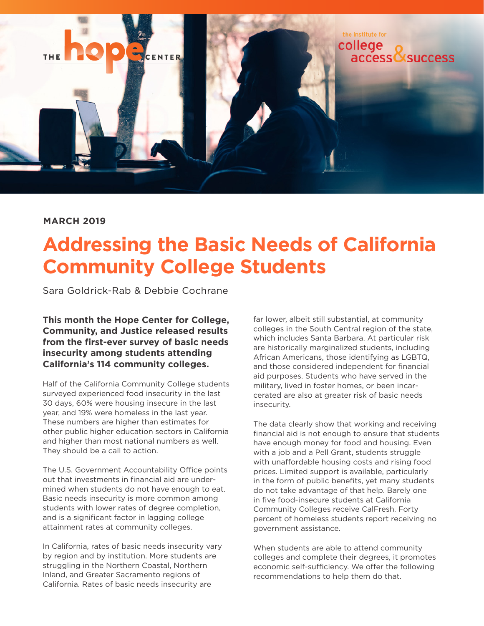

#### **MARCH 2019**

# **Addressing the Basic Needs of California Community College Students**

Sara Goldrick-Rab & Debbie Cochrane

**This month the Hope Center for College, Community, and Justice released results from the first-ever survey of basic needs insecurity among students attending California's 114 community colleges.** 

Half of the California Community College students surveyed experienced food insecurity in the last 30 days, 60% were housing insecure in the last year, and 19% were homeless in the last year. These numbers are higher than estimates for other public higher education sectors in California and higher than most national numbers as well. They should be a call to action.

The U.S. Government Accountability Office points out that investments in financial aid are undermined when students do not have enough to eat. Basic needs insecurity is more common among students with lower rates of degree completion, and is a significant factor in lagging college attainment rates at community colleges.

In California, rates of basic needs insecurity vary by region and by institution. More students are struggling in the Northern Coastal, Northern Inland, and Greater Sacramento regions of California. Rates of basic needs insecurity are

far lower, albeit still substantial, at community colleges in the South Central region of the state, which includes Santa Barbara. At particular risk are historically marginalized students, including African Americans, those identifying as LGBTQ, and those considered independent for financial aid purposes. Students who have served in the military, lived in foster homes, or been incarcerated are also at greater risk of basic needs insecurity.

The data clearly show that working and receiving financial aid is not enough to ensure that students have enough money for food and housing. Even with a job and a Pell Grant, students struggle with unaffordable housing costs and rising food prices. Limited support is available, particularly in the form of public benefits, yet many students do not take advantage of that help. Barely one in five food-insecure students at California Community Colleges receive CalFresh. Forty percent of homeless students report receiving no government assistance.

When students are able to attend community colleges and complete their degrees, it promotes economic self-sufficiency. We offer the following recommendations to help them do that.